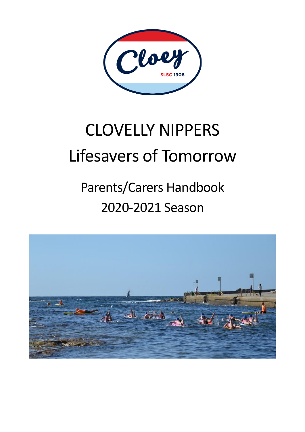

# CLOVELLY NIPPERS Lifesavers of Tomorrow

# Parents/Carers Handbook 2020-2021 Season

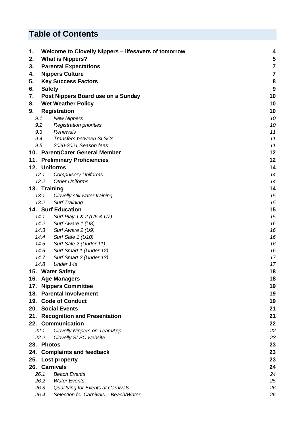# **Table of Contents**

| 1.  |               | Welcome to Clovelly Nippers - lifesavers of tomorrow | 4        |
|-----|---------------|------------------------------------------------------|----------|
| 2.  |               | <b>What is Nippers?</b>                              | 5        |
| 3.  |               | <b>Parental Expectations</b>                         | 7        |
| 4.  |               | <b>Nippers Culture</b>                               | 7        |
| 5.  |               | <b>Key Success Factors</b>                           | 8        |
| 6.  | <b>Safety</b> |                                                      | 9        |
| 7.  |               | Post Nippers Board use on a Sunday                   | 10       |
| 8.  |               | <b>Wet Weather Policy</b>                            | 10       |
| 9.  |               | <b>Registration</b>                                  | 10       |
|     | 9.1           | <b>New Nippers</b>                                   | 10       |
|     | 9.2           | <b>Registration priorities</b>                       | 10       |
|     | 9.3           | Renewals                                             | 11       |
|     | 9.4           | <b>Transfers between SLSCs</b>                       | 11       |
|     | 9.5           | 2020-2021 Season fees                                | 11       |
|     |               | 10. Parent/Carer General Member                      | 12       |
|     |               | 11. Preliminary Proficiencies                        | 12       |
|     |               | 12. Uniforms                                         | 14       |
|     | 12.1          | <b>Compulsory Uniforms</b>                           | 14       |
|     | 12.2          | <b>Other Uniforms</b>                                | 14       |
|     | 13. Training  |                                                      | 14       |
|     | 13.1          | Clovelly still water training                        | 15       |
|     | 13.2          | <b>Surf Training</b>                                 | 15       |
|     |               | <b>14. Surf Education</b>                            | 15       |
|     | 14.1          | Surf Play 1 & 2 (U6 & U7)                            | 15       |
|     | 14.2          | Surf Aware 1 (U8)                                    | 16       |
|     | 14.3          | Surf Aware 2 (U9)                                    | 16       |
|     | 14.4          | Surf Safe 1 (U10)                                    | 16       |
|     | 14.5          | Surf Safe 2 (Under 11)                               | 16       |
|     | 14.6          | Surf Smart 1 (Under 12)                              | 16       |
|     | 14.7          | Surf Smart 2 (Under 13)                              | 17       |
|     | 14.8          | Under 14s                                            | 17       |
|     |               | 15. Water Safety                                     | 18       |
|     |               | 16. Age Managers                                     | 18       |
| 17. |               | <b>Nippers Committee</b>                             | 19       |
| 18. |               | <b>Parental Involvement</b>                          | 19       |
|     |               | 19. Code of Conduct                                  | 19       |
|     |               | 20. Social Events                                    | 21       |
| 21. |               | <b>Recognition and Presentation</b>                  | 21       |
|     |               | 22. Communication                                    | 22       |
|     | 22.1          | Clovelly Nippers on TeamApp                          | 22       |
|     | 22.2          | Clovelly SLSC website                                | 23       |
|     | 23. Photos    |                                                      | 23       |
|     |               | 24. Complaints and feedback                          | 23       |
|     |               | 25. Lost property                                    | 23       |
|     |               | 26. Carnivals                                        | 24       |
|     | 26.1<br>26.2  | <b>Beach Events</b><br><b>Water Events</b>           | 24<br>25 |
|     | 26.3          | Qualifying for Events at Carnivals                   | 26       |
|     | 26.4          | Selection for Carnivals - Beach/Water                | 26       |
|     |               |                                                      |          |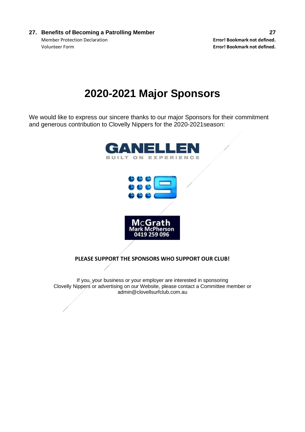**27. Benefits of Becoming a Patrolling Member 27** Member Protection Declaration **Error! Bookmark not defined.** Volunteer Form **Error! Bookmark not defined.**

# **2020-2021 Major Sponsors**

We would like to express our sincere thanks to our major Sponsors for their commitment and generous contribution to Clovelly Nippers for the 2020-2021season:



#### **PLEASE SUPPORT THE SPONSORS WHO SUPPORT OUR CLUB!**

If you, your business or your employer are interested in sponsoring Clovelly Nippers or advertising on our Website, please contact a Committee member or admin@clovellsurfclub.com.au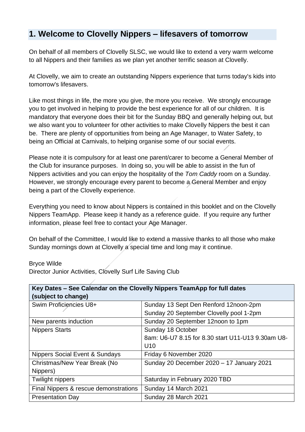# **1. Welcome to Clovelly Nippers – lifesavers of tomorrow**

On behalf of all members of Clovelly SLSC, we would like to extend a very warm welcome to all Nippers and their families as we plan yet another terrific season at Clovelly.

At Clovelly, we aim to create an outstanding Nippers experience that turns today's kids into tomorrow's lifesavers.

Like most things in life, the more you give, the more you receive. We strongly encourage you to get involved in helping to provide the best experience for all of our children. It is mandatory that everyone does their bit for the Sunday BBQ and generally helping out, but we also want you to volunteer for other activities to make Clovelly Nippers the best it can be. There are plenty of opportunities from being an Age Manager, to Water Safety, to being an Official at Carnivals, to helping organise some of our social events.

Please note it is compulsory for at least one parent/carer to become a General Member of the Club for insurance purposes. In doing so, you will be able to assist in the fun of Nippers activities and you can enjoy the hospitality of the *Tom Caddy* room on a Sunday. However, we strongly encourage every parent to become a General Member and enjoy being a part of the Clovelly experience.

Everything you need to know about Nippers is contained in this booklet and on the Clovelly Nippers TeamApp. Please keep it handy as a reference guide. If you require any further information, please feel free to contact your Age Manager.

On behalf of the Committee, I would like to extend a massive thanks to all those who make Sunday mornings down at Clovelly a special time and long may it continue.

#### Bryce Wilde

Director Junior Activities, Clovelly Surf Life Saving Club

| Key Dates - See Calendar on the Clovelly Nippers TeamApp for full dates |                                                   |  |
|-------------------------------------------------------------------------|---------------------------------------------------|--|
| (subject to change)                                                     |                                                   |  |
| Swim Proficiencies U8+                                                  | Sunday 13 Sept Den Renford 12noon-2pm             |  |
|                                                                         | Sunday 20 September Clovelly pool 1-2pm           |  |
| New parents induction                                                   | Sunday 20 September 12noon to 1pm                 |  |
| <b>Nippers Starts</b>                                                   | Sunday 18 October                                 |  |
|                                                                         | 8am: U6-U7 8.15 for 8.30 start U11-U13 9.30am U8- |  |
|                                                                         | U <sub>10</sub>                                   |  |
| <b>Nippers Social Event &amp; Sundays</b>                               | Friday 6 November 2020                            |  |
| Christmas/New Year Break (No                                            | Sunday 20 December 2020 - 17 January 2021         |  |
| Nippers)                                                                |                                                   |  |
| <b>Twilight nippers</b>                                                 | Saturday in February 2020 TBD                     |  |
| Final Nippers & rescue demonstrations                                   | Sunday 14 March 2021                              |  |
| <b>Presentation Day</b>                                                 | Sunday 28 March 2021                              |  |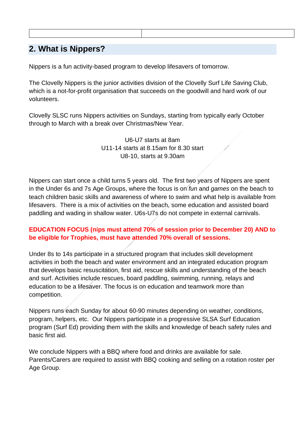# **2. What is Nippers?**

Nippers is a fun activity-based program to develop lifesavers of tomorrow.

The Clovelly Nippers is the junior activities division of the Clovelly Surf Life Saving Club, which is a not-for-profit organisation that succeeds on the goodwill and hard work of our volunteers.

Clovelly SLSC runs Nippers activities on Sundays, starting from typically early October through to March with a break over Christmas/New Year.

> U6-U7 starts at 8am U11-14 starts at 8.15am for 8.30 start U8-10, starts at 9.30am

Nippers can start once a child turns 5 years old. The first two years of Nippers are spent in the Under 6s and 7s Age Groups, where the focus is on *fun* and *games* on the beach to teach children basic skills and awareness of where to swim and what help is available from lifesavers. There is a mix of activities on the beach, some education and assisted board paddling and wading in shallow water. U6s-U7s do not compete in external carnivals.

## **EDUCATION FOCUS (nips must attend 70% of session prior to December 20) AND to be eligible for Trophies, must have attended 70% overall of sessions.**

Under 8s to 14s participate in a structured program that includes skill development activities in both the beach and water environment and an integrated education program that develops basic resuscitation, first aid, rescue skills and understanding of the beach and surf. Activities include rescues, board paddling, swimming, running, relays and education to be a lifesaver. The focus is on education and teamwork more than competition.

Nippers runs each Sunday for about 60-90 minutes depending on weather, conditions, program, helpers, etc. Our Nippers participate in a progressive SLSA Surf Education program (Surf Ed) providing them with the skills and knowledge of beach safety rules and basic first aid.

We conclude Nippers with a BBQ where food and drinks are available for sale. Parents/Carers are required to assist with BBQ cooking and selling on a rotation roster per Age Group.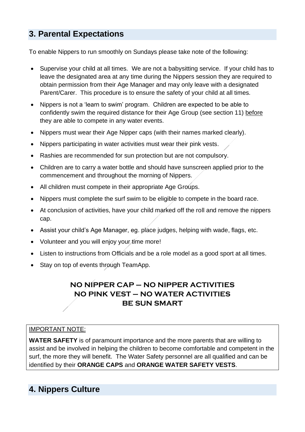# **3. Parental Expectations**

To enable Nippers to run smoothly on Sundays please take note of the following:

- Supervise your child at all times. We are not a babysitting service. If your child has to leave the designated area at any time during the Nippers session they are required to obtain permission from their Age Manager and may only leave with a designated Parent/Carer. This procedure is to ensure the safety of your child at all times.
- Nippers is not a 'learn to swim' program. Children are expected to be able to confidently swim the required distance for their Age Group (see section 11) before they are able to compete in any water events.
- Nippers must wear their Age Nipper caps (with their names marked clearly).
- Nippers participating in water activities must wear their pink vests.
- Rashies are recommended for sun protection but are not compulsory.
- Children are to carry a water bottle and should have sunscreen applied prior to the commencement and throughout the morning of Nippers.
- All children must compete in their appropriate Age Groups.
- Nippers must complete the surf swim to be eligible to compete in the board race.
- At conclusion of activities, have your child marked off the roll and remove the nippers cap.
- Assist your child's Age Manager, eg. place judges, helping with wade, flags, etc.
- Volunteer and you will enjoy your time more!
- Listen to instructions from Officials and be a role model as a good sport at all times.
- Stay on top of events through TeamApp.

# **NO NIPPER CAP – NO NIPPER ACTIVITIES NO PINK VEST – NO WATER ACTIVITIES BE SUN SMART**

#### IMPORTANT NOTE:

**WATER SAFETY** is of paramount importance and the more parents that are willing to assist and be involved in helping the children to become comfortable and competent in the surf, the more they will benefit. The Water Safety personnel are all qualified and can be identified by their **ORANGE CAPS** and **ORANGE WATER SAFETY VESTS**.

# **4. Nippers Culture**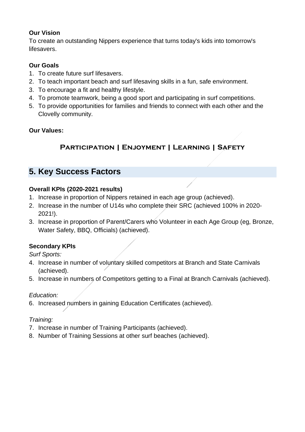## **Our Vision**

To create an outstanding Nippers experience that turns today's kids into tomorrow's lifesavers.

## **Our Goals**

- 1. To create future surf lifesavers.
- 2. To teach important beach and surf lifesaving skills in a fun, safe environment.
- 3. To encourage a fit and healthy lifestyle.
- 4. To promote teamwork, being a good sport and participating in surf competitions.
- 5. To provide opportunities for families and friends to connect with each other and the Clovelly community.

## **Our Values:**

# **Participation | Enjoyment | Learning | Safety**

# **5. Key Success Factors**

## **Overall KPIs (2020-2021 results)**

- 1. Increase in proportion of Nippers retained in each age group (achieved).
- 2. Increase in the number of U14s who complete their SRC (achieved 100% in 2020- 2021!).
- 3. Increase in proportion of Parent/Carers who Volunteer in each Age Group (eg, Bronze, Water Safety, BBQ, Officials) (achieved).

## **Secondary KPIs**

*Surf Sports:*

- 4. Increase in number of voluntary skilled competitors at Branch and State Carnivals (achieved).
- 5. Increase in numbers of Competitors getting to a Final at Branch Carnivals (achieved).

#### *Education:*

6. Increased numbers in gaining Education Certificates (achieved).

## *Training:*

- 7. Increase in number of Training Participants (achieved).
- 8. Number of Training Sessions at other surf beaches (achieved).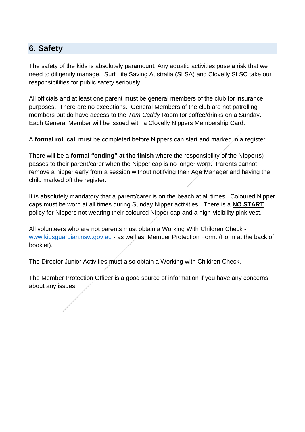# **6. Safety**

The safety of the kids is absolutely paramount. Any aquatic activities pose a risk that we need to diligently manage. Surf Life Saving Australia (SLSA) and Clovelly SLSC take our responsibilities for public safety seriously.

All officials and at least one parent must be general members of the club for insurance purposes. There are no exceptions. General Members of the club are not patrolling members but do have access to the *Tom Caddy* Room for coffee/drinks on a Sunday. Each General Member will be issued with a Clovelly Nippers Membership Card.

A **formal roll cal**l must be completed before Nippers can start and marked in a register.

There will be a **formal "ending" at the finish** where the responsibility of the Nipper(s) passes to their parent/carer when the Nipper cap is no longer worn. Parents cannot remove a nipper early from a session without notifying their Age Manager and having the child marked off the register.

It is absolutely mandatory that a parent/carer is on the beach at all times. Coloured Nipper caps must be worn at all times during Sunday Nipper activities. There is a **NO START** policy for Nippers not wearing their coloured Nipper cap and a high-visibility pink vest.

All volunteers who are not parents must obtain a Working With Children Check [www.kidsguardian.nsw.gov.au](https://www.kidsguardian.nsw.gov.au/working-with-children/working-with-children-check) - as well as, Member Protection Form. (Form at the back of booklet).

The Director Junior Activities must also obtain a Working with Children Check.

The Member Protection Officer is a good source of information if you have any concerns about any issues.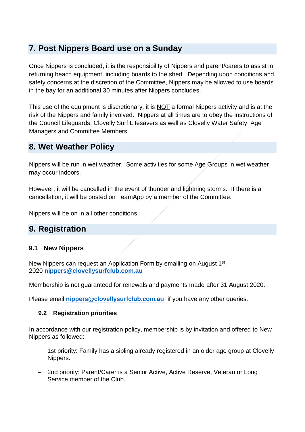# **7. Post Nippers Board use on a Sunday**

Once Nippers is concluded, it is the responsibility of Nippers and parent/carers to assist in returning beach equipment, including boards to the shed. Depending upon conditions and safety concerns at the discretion of the Committee, Nippers may be allowed to use boards in the bay for an additional 30 minutes after Nippers concludes.

This use of the equipment is discretionary, it is NOT a formal Nippers activity and is at the risk of the Nippers and family involved. Nippers at all times are to obey the instructions of the Council Lifeguards, Clovelly Surf Lifesavers as well as Clovelly Water Safety, Age Managers and Committee Members.

# **8. Wet Weather Policy**

Nippers will be run in wet weather. Some activities for some Age Groups in wet weather may occur indoors.

However, it will be cancelled in the event of thunder and lightning storms. If there is a cancellation, it will be posted on TeamApp by a member of the Committee.

Nippers will be on in all other conditions.

# **9. Registration**

#### **9.1 New Nippers**

New Nippers can request an Application Form by emailing on August 1<sup>st</sup>, 2020 **[nippers@clovellysurfclub.com.au](mailto:nippers@clovellysurfclub.com.au)**

Membership is not guaranteed for renewals and payments made after 31 August 2020.

Please email **[nippers@clovellysurfclub.com.au](mailto:nippers@clovellysurfclub.com.au)**, if you have any other queries.

#### **9.2 Registration priorities**

In accordance with our registration policy, membership is by invitation and offered to New Nippers as followed:

- 1st priority: Family has a sibling already registered in an older age group at Clovelly Nippers.
- 2nd priority: Parent/Carer is a Senior Active, Active Reserve, Veteran or Long Service member of the Club.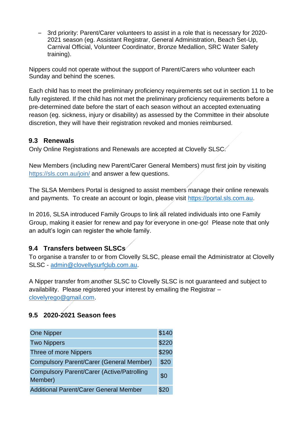– 3rd priority: Parent/Carer volunteers to assist in a role that is necessary for 2020- 2021 season (eg. Assistant Registrar, General Administration, Beach Set-Up, Carnival Official, Volunteer Coordinator, Bronze Medallion, SRC Water Safety training).

Nippers could not operate without the support of Parent/Carers who volunteer each Sunday and behind the scenes.

Each child has to meet the preliminary proficiency requirements set out in section 11 to be fully registered. If the child has not met the preliminary proficiency requirements before a pre-determined date before the start of each season without an accepted extenuating reason (eg. sickness, injury or disability) as assessed by the Committee in their absolute discretion, they will have their registration revoked and monies reimbursed.

## **9.3 Renewals**

Only Online Registrations and Renewals are accepted at Clovelly SLSC.

New Members (including new Parent/Carer General Members) must first join by visiting <https://sls.com.au/join/> and answer a few questions.

The SLSA Members Portal is designed to assist members manage their online renewals and payments. To create an account or login, please visit [https://portal.sls.com.au.](https://portal.sls.com.au/)

In 2016, SLSA introduced Family Groups to link all related individuals into one Family Group, making it easier for renew and pay for everyone in one-go! Please note that only an adult's login can register the whole family.

# **9.4 Transfers between SLSCs**

To organise a transfer to or from Clovelly SLSC, please email the Administrator at Clovelly SLSC - [admin@clovellysurfclub.com.au.](mailto:admin@clovellysurfclub.com.au)

A Nipper transfer from another SLSC to Clovelly SLSC is not guaranteed and subject to availability. Please registered your interest by emailing the Registrar – [clovelyrego@gmail.com.](mailto:clovelyrego@gmail.com)

# **9.5 2020-2021 Season fees**

| <b>One Nipper</b>                                            | \$140 |
|--------------------------------------------------------------|-------|
| <b>Two Nippers</b>                                           | \$220 |
| Three of more Nippers                                        | \$290 |
| <b>Compulsory Parent/Carer (General Member)</b>              | \$20  |
| <b>Compulsory Parent/Carer (Active/Patrolling</b><br>Member) | \$0   |
| <b>Additional Parent/Carer General Member</b>                | \$2(  |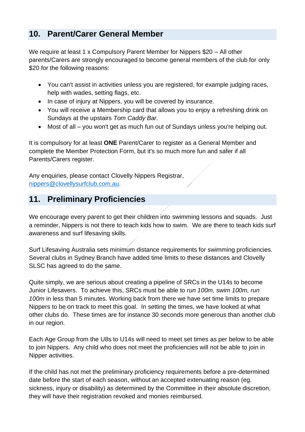# **10. Parent/Carer General Member**

We require at least 1 x Compulsory Parent Member for Nippers \$20 – All other parents/Carers are strongly encouraged to become general members of the club for only \$20 for the following reasons:

- You can't assist in activities unless you are registered, for example judging races, help with wades, setting flags, etc.
- In case of injury at Nippers, you will be covered by insurance.
- You will receive a Membership card that allows you to enjoy a refreshing drink on Sundays at the upstairs *Tom Caddy Bar*.
- Most of all you won't get as much fun out of Sundays unless you're helping out.

It is compulsory for at least **ONE** Parent/Carer to register as a General Member and complete the Member Protection Form, but it's so much more fun and safer if all Parents/Carers register.

Any enquiries, please contact Clovelly Nippers Registrar, [nippers@clovellysurfclub.com.au.](mailto:joanna.mchome@gmail.com)

# **11. Preliminary Proficiencies**

We encourage every parent to get their children into swimming lessons and squads. Just a reminder, Nippers is not there to teach kids how to swim. We are there to teach kids surf awareness and surf lifesaving skills.

Surf Lifesaving Australia sets minimum distance requirements for swimming proficiencies. Several clubs in Sydney Branch have added time limits to these distances and Clovelly SLSC has agreed to do the same.

Quite simply, we are serious about creating a pipeline of SRCs in the U14s to become Junior Lifesavers. To achieve this, SRCs must be able to *run 100m, swim 100m, run 100m* in less than 5 minutes. Working back from there we have set time limits to prepare Nippers to be on track to meet this goal. In setting the times, we have looked at what other clubs do. These times are for instance 30 seconds more generous than another club in our region.

Each Age Group from the U8s to U14s will need to meet set times as per below to be able to join Nippers. Any child who does not meet the proficiencies will not be able to join in Nipper activities.

If the child has not met the preliminary proficiency requirements before a pre-determined date before the start of each season, without an accepted extenuating reason (eg. sickness, injury or disability) as determined by the Committee in their absolute discretion, they will have their registration revoked and monies reimbursed.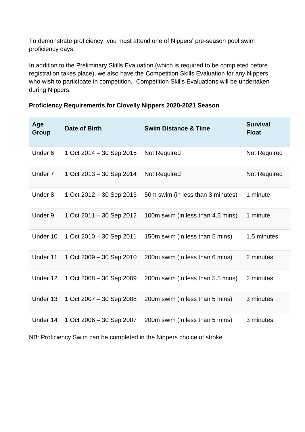To demonstrate proficiency, you must attend one of Nippers' pre-season pool swim proficiency days.

In addition to the Preliminary Skills Evaluation (which is required to be completed before registration takes place), we also have the Competition Skills Evaluation for any Nippers who wish to participate in competition. Competition Skills Evaluations will be undertaken during Nippers.

| Age<br><b>Group</b>                                                   | Date of Birth                | <b>Swim Distance &amp; Time</b>   | <b>Survival</b><br><b>Float</b> |
|-----------------------------------------------------------------------|------------------------------|-----------------------------------|---------------------------------|
| Under <sub>6</sub>                                                    | 1 Oct 2014 - 30 Sep 2015     | Not Required                      | Not Required                    |
| Under 7                                                               | 1 Oct 2013 - 30 Sep 2014     | <b>Not Required</b>               | Not Required                    |
| Under 8                                                               | 1 Oct 2012 – 30 Sep 2013     | 50m swim (in less than 3 minutes) | 1 minute                        |
| Under 9                                                               | 1 Oct 2011 – 30 Sep 2012     | 100m swim (in less than 4.5 mins) | 1 minute                        |
| Under 10                                                              | 1 Oct 2010 - 30 Sep 2011     | 150m swim (in less than 5 mins)   | 1.5 minutes                     |
| Under 11                                                              | 1 Oct 2009 - 30 Sep 2010     | 200m swim (in less than 6 mins)   | 2 minutes                       |
| Under 12                                                              | 1 Oct $2008 - 30$ Sep $2009$ | 200m swim (in less than 5.5 mins) | 2 minutes                       |
| Under 13                                                              | 1 Oct 2007 - 30 Sep 2008     | 200m swim (in less than 5 mins)   | 3 minutes                       |
| Under 14                                                              | 1 Oct 2006 - 30 Sep 2007     | 200m swim (in less than 5 mins)   | 3 minutes                       |
| NB: Proficiency Swim can be completed in the Nippers choice of stroke |                              |                                   |                                 |

#### **Proficiency Requirements for Clovelly Nippers 2020-2021 Season**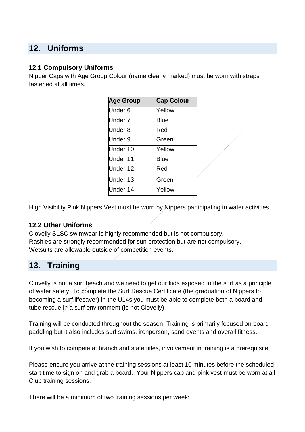# **12. Uniforms**

## **12.1 Compulsory Uniforms**

Nipper Caps with Age Group Colour (name clearly marked) must be worn with straps fastened at all times.

| <b>Age Group</b>   | <b>Cap Colour</b> |
|--------------------|-------------------|
| Under <sub>6</sub> | Yellow            |
| Under <sub>7</sub> | <b>Blue</b>       |
| Under 8            | Red               |
| Under 9            | Green             |
| Under 10           | Yellow            |
| Under 11           | Blue              |
| Under 12           | Red               |
| Under 13           | Green             |
| Under 14           | Yellow            |

High Visibility Pink Nippers Vest must be worn by Nippers participating in water activities.

#### **12.2 Other Uniforms**

Clovelly SLSC swimwear is highly recommended but is not compulsory. Rashies are strongly recommended for sun protection but are not compulsory. Wetsuits are allowable outside of competition events.

# **13. Training**

Clovelly is not a surf beach and we need to get our kids exposed to the surf as a principle of water safety. To complete the Surf Rescue Certificate (the graduation of Nippers to becoming a surf lifesaver) in the U14s you must be able to complete both a board and tube rescue in a surf environment (ie not Clovelly).

Training will be conducted throughout the season. Training is primarily focused on board paddling but it also includes surf swims, ironperson, sand events and overall fitness.

If you wish to compete at branch and state titles, involvement in training is a prerequisite.

Please ensure you arrive at the training sessions at least 10 minutes before the scheduled start time to sign on and grab a board. Your Nippers cap and pink vest must be worn at all Club training sessions.

There will be a minimum of two training sessions per week: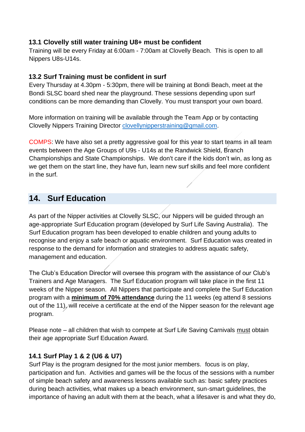## **13.1 Clovelly still water training U8+ must be confident**

Training will be every Friday at 6:00am - 7:00am at Clovelly Beach. This is open to all Nippers U8s-U14s.

## **13.2 Surf Training must be confident in surf**

Every Thursday at 4.30pm - 5:30pm, there will be training at Bondi Beach, meet at the Bondi SLSC board shed near the playground. These sessions depending upon surf conditions can be more demanding than Clovelly. You must transport your own board.

More information on training will be available through the Team App or by contacting Clovelly Nippers Training Director [clovellynipperstraining@gmail.com.](mailto:clovellynipperstraining@gmail.com)

COMPS: We have also set a pretty aggressive goal for this year to start teams in all team events between the Age Groups of U9s - U14s at the Randwick Shield, Branch Championships and State Championships. We don't care if the kids don't win, as long as we get them on the start line, they have fun, learn new surf skills and feel more confident in the surf.

# **14. Surf Education**

As part of the Nipper activities at Clovelly SLSC, our Nippers will be guided through an age-appropriate Surf Education program (developed by Surf Life Saving Australia). The Surf Education program has been developed to enable children and young adults to recognise and enjoy a safe beach or aquatic environment. Surf Education was created in response to the demand for information and strategies to address aquatic safety, management and education.

The Club's Education Director will oversee this program with the assistance of our Club's Trainers and Age Managers. The Surf Education program will take place in the first 11 weeks of the Nipper season. All Nippers that participate and complete the Surf Education program with a **minimum of 70% attendance** during the 11 weeks (eg attend 8 sessions out of the 11), will receive a certificate at the end of the Nipper season for the relevant age program.

Please note – all children that wish to compete at Surf Life Saving Carnivals must obtain their age appropriate Surf Education Award.

## **14.1 Surf Play 1 & 2 (U6 & U7)**

Surf Play is the program designed for the most junior members. focus is on play, participation and fun. Activities and games will be the focus of the sessions with a number of simple beach safety and awareness lessons available such as: basic safety practices during beach activities, what makes up a beach environment, sun-smart guidelines, the importance of having an adult with them at the beach, what a lifesaver is and what they do,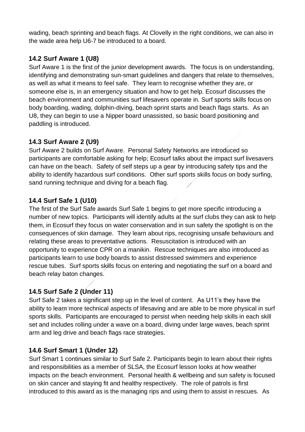wading, beach sprinting and beach flags. At Clovelly in the right conditions, we can also in the wade area help U6-7 be introduced to a board.

# **14.2 Surf Aware 1 (U8)**

Surf Aware 1 is the first of the junior development awards. The focus is on understanding, identifying and demonstrating sun-smart guidelines and dangers that relate to themselves, as well as what it means to feel safe. They learn to recognise whether they are, or someone else is, in an emergency situation and how to get help. Ecosurf discusses the beach environment and communities surf lifesavers operate in. Surf sports skills focus on body boarding, wading, dolphin-diving, beach sprint starts and beach flags starts. As an U8, they can begin to use a Nipper board unassisted, so basic board positioning and paddling is introduced.

# **14.3 Surf Aware 2 (U9)**

Surf Aware 2 builds on Surf Aware. Personal Safety Networks are introduced so participants are comfortable asking for help; Ecosurf talks about the impact surf livesavers can have on the beach. Safety of self steps up a gear by introducing safety tips and the ability to identify hazardous surf conditions. Other surf sports skills focus on body surfing, sand running technique and diving for a beach flag.

# **14.4 Surf Safe 1 (U10)**

The first of the Surf Safe awards Surf Safe 1 begins to get more specific introducing a number of new topics. Participants will identify adults at the surf clubs they can ask to help them, in Ecosurf they focus on water conservation and in sun safety the spotlight is on the consequences of skin damage. They learn about rips, recognising unsafe behaviours and relating these areas to preventative actions. Resuscitation is introduced with an opportunity to experience CPR on a manikin. Rescue techniques are also introduced as participants learn to use body boards to assist distressed swimmers and experience rescue tubes. Surf sports skills focus on entering and negotiating the surf on a board and beach relay baton changes.

# **14.5 Surf Safe 2 (Under 11)**

Surf Safe 2 takes a significant step up in the level of content. As U11's they have the ability to learn more technical aspects of lifesaving and are able to be more physical in surf sports skills. Participants are encouraged to persist when needing help skills in each skill set and includes rolling under a wave on a board, diving under large waves, beach sprint arm and leg drive and beach flags race strategies.

# **14.6 Surf Smart 1 (Under 12)**

Surf Smart 1 continues similar to Surf Safe 2. Participants begin to learn about their rights and responsibilities as a member of SLSA, the Ecosurf lesson looks at how weather impacts on the beach environment. Personal health & wellbeing and sun safety is focused on skin cancer and staying fit and healthy respectively. The role of patrols is first introduced to this award as is the managing rips and using them to assist in rescues. As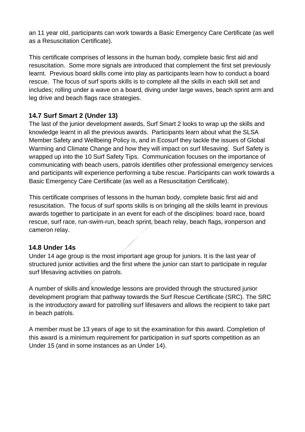an 11 year old, participants can work towards a Basic Emergency Care Certificate (as well as a Resuscitation Certificate).

This certificate comprises of lessons in the human body, complete basic first aid and resuscitation. Some more signals are introduced that complement the first set previously learnt. Previous board skills come into play as participants learn how to conduct a board rescue. The focus of surf sports skills is to complete all the skills in each skill set and includes; rolling under a wave on a board, diving under large waves, beach sprint arm and leg drive and beach flags race strategies.

# **14.7 Surf Smart 2 (Under 13)**

The last of the junior development awards, Surf Smart 2 looks to wrap up the skills and knowledge learnt in all the previous awards. Participants learn about what the SLSA Member Safety and Wellbeing Policy is, and in Ecosurf they tackle the issues of Global Warming and Climate Change and how they will impact on surf lifesaving. Surf Safety is wrapped up into the 10 Surf Safety Tips. Communication focuses on the importance of communicating with beach users, patrols identifies other professional emergency services and participants will experience performing a tube rescue. Participants can work towards a Basic Emergency Care Certificate (as well as a Resuscitation Certificate).

This certificate comprises of lessons in the human body, complete basic first aid and resuscitation. The focus of surf sports skills is on bringing all the skills learnt in previous awards together to participate in an event for each of the disciplines: board race, board rescue, surf race, run-swim-run, beach sprint, beach relay, beach flags, ironperson and cameron relay.

# **14.8 Under 14s**

Under 14 age group is the most important age group for juniors. It is the last year of structured junior activities and the first where the junior can start to participate in regular surf lifesaving activities on patrols.

A number of skills and knowledge lessons are provided through the structured junior development program that pathway towards the Surf Rescue Certificate (SRC). The SRC is the introductory award for patrolling surf lifesavers and allows the recipient to take part in beach patrols.

A member must be 13 years of age to sit the examination for this award. Completion of this award is a minimum requirement for participation in surf sports competition as an Under 15 (and in some instances as an Under 14).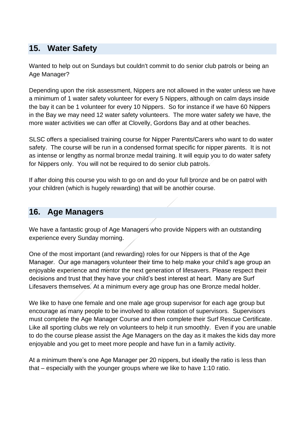# **15. Water Safety**

Wanted to help out on Sundays but couldn't commit to do senior club patrols or being an Age Manager?

Depending upon the risk assessment, Nippers are not allowed in the water unless we have a minimum of 1 water safety volunteer for every 5 Nippers, although on calm days inside the bay it can be 1 volunteer for every 10 Nippers. So for instance if we have 60 Nippers in the Bay we may need 12 water safety volunteers. The more water safety we have, the more water activities we can offer at Clovelly, Gordons Bay and at other beaches.

SLSC offers a specialised training course for Nipper Parents/Carers who want to do water safety. The course will be run in a condensed format specific for nipper parents. It is not as intense or lengthy as normal bronze medal training. It will equip you to do water safety for Nippers only. You will not be required to do senior club patrols.

If after doing this course you wish to go on and do your full bronze and be on patrol with your children (which is hugely rewarding) that will be another course.

# **16. Age Managers**

We have a fantastic group of Age Managers who provide Nippers with an outstanding experience every Sunday morning.

One of the most important (and rewarding) roles for our Nippers is that of the Age Manager. Our age managers volunteer their time to help make your child's age group an enjoyable experience and mentor the next generation of lifesavers. Please respect their decisions and trust that they have your child's best interest at heart. Many are Surf Lifesavers themselves. At a minimum every age group has one Bronze medal holder.

We like to have one female and one male age group supervisor for each age group but encourage as many people to be involved to allow rotation of supervisors. Supervisors must complete the Age Manager Course and then complete their Surf Rescue Certificate. Like all sporting clubs we rely on volunteers to help it run smoothly. Even if you are unable to do the course please assist the Age Managers on the day as it makes the kids day more enjoyable and you get to meet more people and have fun in a family activity.

At a minimum there's one Age Manager per 20 nippers, but ideally the ratio is less than that – especially with the younger groups where we like to have 1:10 ratio.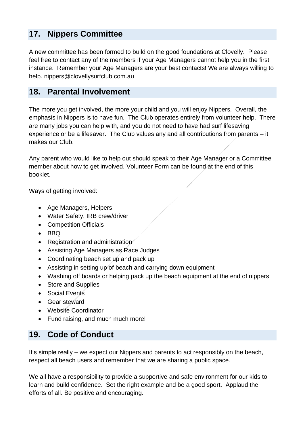# **17. Nippers Committee**

A new committee has been formed to build on the good foundations at Clovelly. Please feel free to contact any of the members if your Age Managers cannot help you in the first instance. Remember your Age Managers are your best contacts! We are always willing to help. nippers@clovellysurfclub.com.au

# **18. Parental Involvement**

The more you get involved, the more your child and you will enjoy Nippers. Overall, the emphasis in Nippers is to have fun. The Club operates entirely from volunteer help. There are many jobs you can help with, and you do not need to have had surf lifesaving experience or be a lifesaver. The Club values any and all contributions from parents – it makes our Club.

Any parent who would like to help out should speak to their Age Manager or a Committee member about how to get involved. Volunteer Form can be found at the end of this booklet.

Ways of getting involved:

- Age Managers, Helpers
- Water Safety, IRB crew/driver
- Competition Officials
- BBQ
- Registration and administration
- Assisting Age Managers as Race Judges
- Coordinating beach set up and pack up
- Assisting in setting up of beach and carrying down equipment
- Washing off boards or helping pack up the beach equipment at the end of nippers
- Store and Supplies
- Social Events
- Gear steward
- Website Coordinator
- Fund raising, and much much more!

# **19. Code of Conduct**

It's simple really – we expect our Nippers and parents to act responsibly on the beach, respect all beach users and remember that we are sharing a public space.

We all have a responsibility to provide a supportive and safe environment for our kids to learn and build confidence. Set the right example and be a good sport. Applaud the efforts of all. Be positive and encouraging.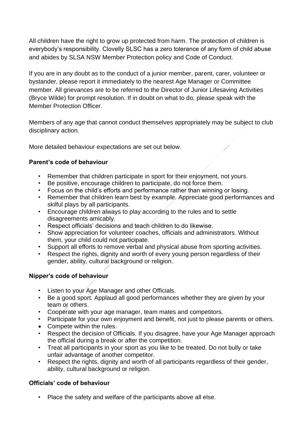All children have the right to grow up protected from harm. The protection of children is everybody's responsibility. Clovelly SLSC has a zero tolerance of any form of child abuse and abides by SLSA NSW Member Protection policy and Code of Conduct.

If you are in any doubt as to the conduct of a junior member, parent, carer, volunteer or bystander, please report it immediately to the nearest Age Manager or Committee member. All grievances are to be referred to the Director of Junior Lifesaving Activities (Bryce Wilde) for prompt resolution. If in doubt on what to do, please speak with the Member Protection Officer.

Members of any age that cannot conduct themselves appropriately may be subject to club disciplinary action.

More detailed behaviour expectations are set out below.

#### **Parent's code of behaviour**

- Remember that children participate in sport for their enjoyment, not yours.
- Be positive, encourage children to participate, do not force them.
- Focus on the child's efforts and performance rather than winning or losing.
- Remember that children learn best by example. Appreciate good performances and skilful plays by all participants.
- Encourage children always to play according to the rules and to settle disagreements amicably.
- Respect officials' decisions and teach children to do likewise.
- Show appreciation for volunteer coaches, officials and administrators. Without them, your child could not participate.
- Support all efforts to remove verbal and physical abuse from sporting activities.
- Respect the rights, dignity and worth of every young person regardless of their gender, ability, cultural background or religion.

#### **Nipper's code of behaviour**

- Listen to your Age Manager and other Officials.
- Be a good sport. Applaud all good performances whether they are given by your team or others.
- Cooperate with your age manager, team mates and competitors.
- Participate for your own enjoyment and benefit, not just to please parents or others.
- Compete within the rules.
- Respect the decision of Officials. If you disagree, have your Age Manager approach the official during a break or after the competition.
- Treat all participants in your sport as you like to be treated. Do not bully or take unfair advantage of another competitor.
- Respect the rights, dignity and worth of all participants regardless of their gender, ability, cultural background or religion.

#### **Officials' code of behaviour**

• Place the safety and welfare of the participants above all else.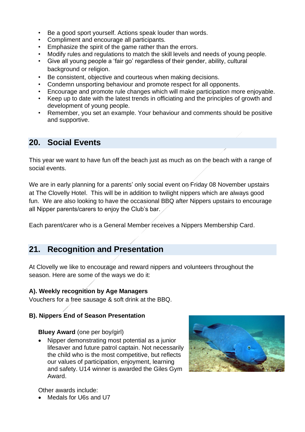- Be a good sport yourself. Actions speak louder than words.
- Compliment and encourage all participants.
- Emphasize the spirit of the game rather than the errors.
- Modify rules and regulations to match the skill levels and needs of young people.
- Give all young people a 'fair go' regardless of their gender, ability, cultural background or religion.
- Be consistent, objective and courteous when making decisions.
- Condemn unsporting behaviour and promote respect for all opponents.
- Encourage and promote rule changes which will make participation more enjoyable.
- Keep up to date with the latest trends in officiating and the principles of growth and development of young people.
- Remember, you set an example. Your behaviour and comments should be positive and supportive.

# **20. Social Events**

This year we want to have fun off the beach just as much as on the beach with a range of social events.

We are in early planning for a parents' only social event on Friday 08 November upstairs at The Clovelly Hotel. This will be in addition to twilight nippers which are always good fun. We are also looking to have the occasional BBQ after Nippers upstairs to encourage all Nipper parents/carers to enjoy the Club's bar.

Each parent/carer who is a General Member receives a Nippers Membership Card.

# **21. Recognition and Presentation**

At Clovelly we like to encourage and reward nippers and volunteers throughout the season. Here are some of the ways we do it:

#### **A). Weekly recognition by Age Managers**

Vouchers for a free sausage & soft drink at the BBQ.

#### **B). Nippers End of Season Presentation**

#### **Bluey Award** (one per boy/girl)

• Nipper demonstrating most potential as a junior lifesaver and future patrol captain. Not necessarily the child who is the most competitive, but reflects our values of participation, enjoyment, learning and safety. U14 winner is awarded the Giles Gym Award.



Other awards include:

• Medals for U6s and U7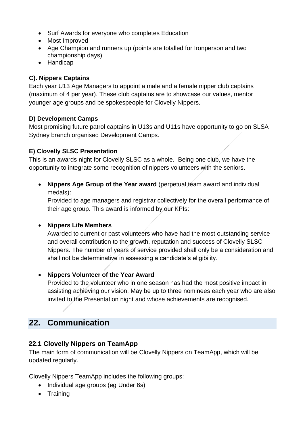- Surf Awards for everyone who completes Education
- Most Improved
- Age Champion and runners up (points are totalled for Ironperson and two championship days)
- Handicap

## **C). Nippers Captains**

Each year U13 Age Managers to appoint a male and a female nipper club captains (maximum of 4 per year). These club captains are to showcase our values, mentor younger age groups and be spokespeople for Clovelly Nippers.

## **D) Development Camps**

Most promising future patrol captains in U13s and U11s have opportunity to go on SLSA Sydney branch organised Development Camps.

## **E) Clovelly SLSC Presentation**

This is an awards night for Clovelly SLSC as a whole. Being one club, we have the opportunity to integrate some recognition of nippers volunteers with the seniors.

• **Nippers Age Group of the Year award** (perpetual team award and individual medals):

Provided to age managers and registrar collectively for the overall performance of their age group. This award is informed by our KPIs:

#### • **Nippers Life Members**

Awarded to current or past volunteers who have had the most outstanding service and overall contribution to the growth, reputation and success of Clovelly SLSC Nippers. The number of years of service provided shall only be a consideration and shall not be determinative in assessing a candidate's eligibility.

## • **Nippers Volunteer of the Year Award**

Provided to the volunteer who in one season has had the most positive impact in assisting achieving our vision. May be up to three nominees each year who are also invited to the Presentation night and whose achievements are recognised.

# **22. Communication**

## **22.1 Clovelly Nippers on TeamApp**

The main form of communication will be Clovelly Nippers on TeamApp, which will be updated regularly.

Clovelly Nippers TeamApp includes the following groups:

- Individual age groups (eg Under 6s)
- Training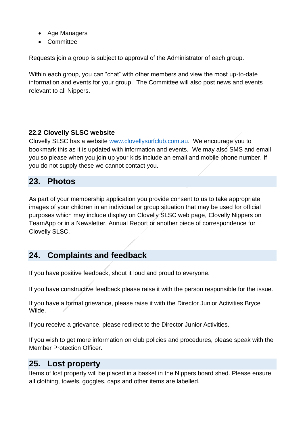- Age Managers
- **Committee**

Requests join a group is subject to approval of the Administrator of each group.

Within each group, you can "chat" with other members and view the most up-to-date information and events for your group. The Committee will also post news and events relevant to all Nippers.

## **22.2 Clovelly SLSC website**

Clovelly SLSC has a website [www.clovellysurfclub.com.au.](http://www.clovellysurfclub.com.au/) We encourage you to bookmark this as it is updated with information and events. We may also SMS and email you so please when you join up your kids include an email and mobile phone number. If you do not supply these we cannot contact you.

# **23. Photos**

As part of your membership application you provide consent to us to take appropriate images of your children in an individual or group situation that may be used for official purposes which may include display on Clovelly SLSC web page, Clovelly Nippers on TeamApp or in a Newsletter, Annual Report or another piece of correspondence for Clovelly SLSC.

# **24. Complaints and feedback**

If you have positive feedback, shout it loud and proud to everyone.

If you have constructive feedback please raise it with the person responsible for the issue.

If you have a formal grievance, please raise it with the Director Junior Activities Bryce Wilde.

If you receive a grievance, please redirect to the Director Junior Activities.

If you wish to get more information on club policies and procedures, please speak with the Member Protection Officer.

# **25. Lost property**

Items of lost property will be placed in a basket in the Nippers board shed. Please ensure all clothing, towels, goggles, caps and other items are labelled.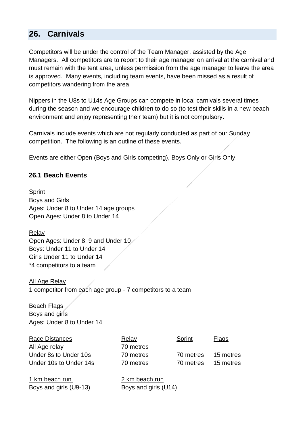# **26. Carnivals**

Competitors will be under the control of the Team Manager, assisted by the Age Managers. All competitors are to report to their age manager on arrival at the carnival and must remain with the tent area, unless permission from the age manager to leave the area is approved. Many events, including team events, have been missed as a result of competitors wandering from the area.

Nippers in the U8s to U14s Age Groups can compete in local carnivals several times during the season and we encourage children to do so (to test their skills in a new beach environment and enjoy representing their team) but it is not compulsory.

Carnivals include events which are not regularly conducted as part of our Sunday competition. The following is an outline of these events.

Events are either Open (Boys and Girls competing), Boys Only or Girls Only.

## **26.1 Beach Events**

Sprint Boys and Girls Ages: Under 8 to Under 14 age groups Open Ages: Under 8 to Under 14

Relay

Open Ages: Under 8, 9 and Under 10 Boys: Under 11 to Under 14 Girls Under 11 to Under 14 \*4 competitors to a team

All Age Relay 1 competitor from each age group - 7 competitors to a team

Beach Flags Boys and girls Ages: Under 8 to Under 14

| Race Distances         | Relay          | Sprint    | Flags     |
|------------------------|----------------|-----------|-----------|
| All Age relay          | 70 metres      |           |           |
| Under 8s to Under 10s  | 70 metres      | 70 metres | 15 metres |
| Under 10s to Under 14s | 70 metres      | 70 metres | 15 metres |
| 1 km beach run         | 2 km beach run |           |           |

| T KIN beach fun        | z kin beach fun      |
|------------------------|----------------------|
| Boys and girls (U9-13) | Boys and girls (U14) |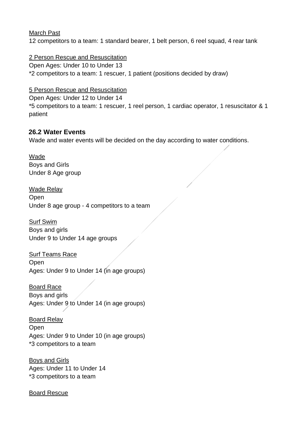#### March Past

12 competitors to a team: 1 standard bearer, 1 belt person, 6 reel squad, 4 rear tank

#### 2 Person Rescue and Resuscitation

Open Ages: Under 10 to Under 13

\*2 competitors to a team: 1 rescuer, 1 patient (positions decided by draw)

## 5 Person Rescue and Resuscitation

Open Ages: Under 12 to Under 14

\*5 competitors to a team: 1 rescuer, 1 reel person, 1 cardiac operator, 1 resuscitator & 1 patient

# **26.2 Water Events**

Wade and water events will be decided on the day according to water conditions.

#### Wade Boys and Girls Under 8 Age group

Wade Relay Open Under 8 age group - 4 competitors to a team

Surf Swim Boys and girls Under 9 to Under 14 age groups

Surf Teams Race **Open** Ages: Under 9 to Under 14 (in age groups)

Board Race Boys and girls Ages: Under 9 to Under 14 (in age groups)

Board Relay Open Ages: Under 9 to Under 10 (in age groups) \*3 competitors to a team

Boys and Girls Ages: Under 11 to Under 14 \*3 competitors to a team

#### Board Rescue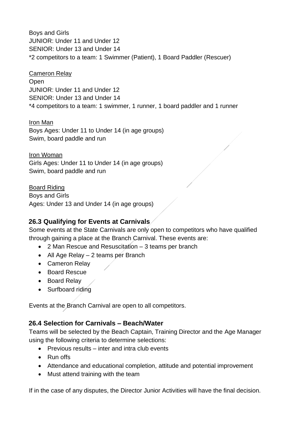Boys and Girls JUNIOR: Under 11 and Under 12 SENIOR: Under 13 and Under 14 \*2 competitors to a team: 1 Swimmer (Patient), 1 Board Paddler (Rescuer)

#### Cameron Relay

**Open** JUNIOR: Under 11 and Under 12 SENIOR: Under 13 and Under 14 \*4 competitors to a team: 1 swimmer, 1 runner, 1 board paddler and 1 runner

#### Iron Man

Boys Ages: Under 11 to Under 14 (in age groups) Swim, board paddle and run

Iron Woman Girls Ages: Under 11 to Under 14 (in age groups) Swim, board paddle and run

Board Riding Boys and Girls Ages: Under 13 and Under 14 (in age groups)

## **26.3 Qualifying for Events at Carnivals**

Some events at the State Carnivals are only open to competitors who have qualified through gaining a place at the Branch Carnival. These events are:

- 2 Man Rescue and Resuscitation 3 teams per branch
- All Age Relay 2 teams per Branch
- Cameron Relay
- Board Rescue
- Board Relay
- Surfboard riding

Events at the Branch Carnival are open to all competitors.

#### **26.4 Selection for Carnivals – Beach/Water**

Teams will be selected by the Beach Captain, Training Director and the Age Manager using the following criteria to determine selections:

- Previous results inter and intra club events
- Run offs
- Attendance and educational completion, attitude and potential improvement
- Must attend training with the team

If in the case of any disputes, the Director Junior Activities will have the final decision.